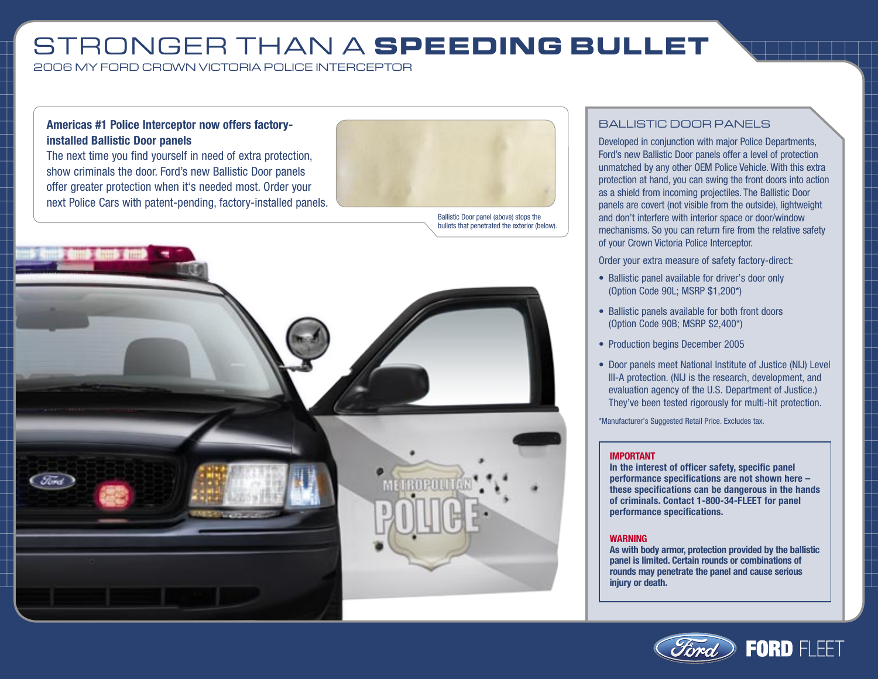## STRONGER THAN A **SPEEDING BULLET**

2006 MY FORD CROWN VICTORIA POLICE INTERCEPTOR

### **Americas #1 Police Interceptor now offers factoryinstalled Ballistic Door panels**

The next time you find yourself in need of extra protection, show criminals the door. Ford's new Ballistic Door panels offer greater protection when it's needed most. Order your next Police Cars with patent-pending, factory-installed panels.



Ballistic Door panel (above) stops the bullets that penetrated the exterior (below).



### BALLISTIC DOOR PANELS

Developed in conjunction with major Police Departments, Ford's new Ballistic Door panels offer a level of protection unmatched by any other OEM Police Vehicle. With this extra protection at hand, you can swing the front doors into action as a shield from incoming projectiles. The Ballistic Door panels are covert (not visible from the outside), lightweight and don't interfere with interior space or door/window mechanisms. So you can return fire from the relative safety of your Crown Victoria Police Interceptor.

Order your extra measure of safety factory-direct:

- Ballistic panel available for driver's door only (Option Code 90L; MSRP \$1,200\*)
- Ballistic panels available for both front doors (Option Code 90B; MSRP \$2,400\*)
- Production begins December 2005
- Door panels meet National Institute of Justice (NIJ) Level III-A protection. (NIJ is the research, development, and evaluation agency of the U.S. Department of Justice.) They've been tested rigorously for multi-hit protection.

\*Manufacturer's Suggested Retail Price. Excludes tax.

#### **IMPORTANT**

**In the interest of officer safety, specific panel performance specifications are not shown here – these specifications can be dangerous in the hands of criminals. Contact 1-800-34-FLEET for panel performance specifications.**

#### **WARNING**

**As with body armor, protection provided by the ballistic panel is limited. Certain rounds or combinations of rounds may penetrate the panel and cause serious injury or death.**